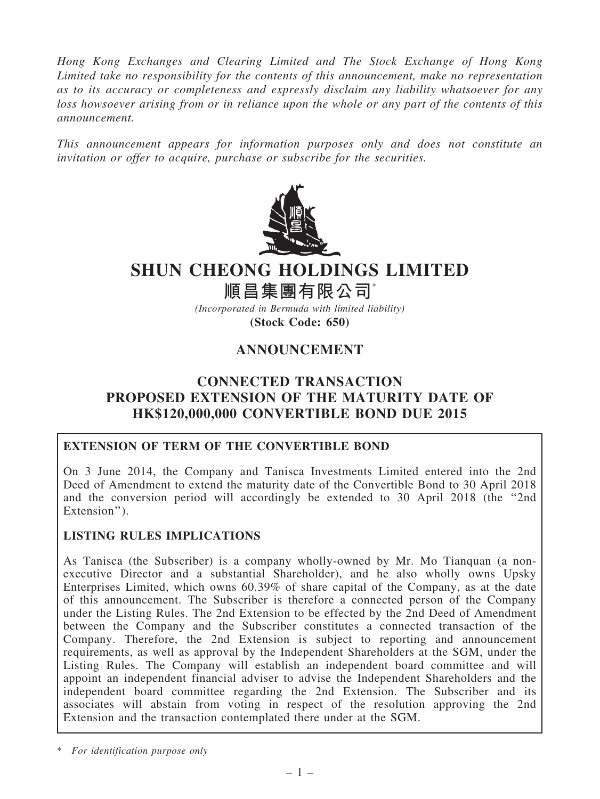*Hong Kong Exchanges and Clearing Limited and The Stock Exchange of Hong Kong Limited take no responsibility for the contents of this announcement, make no representation as to its accuracy or completeness and expressly disclaim any liability whatsoever for any loss howsoever arising from or in reliance upon the whole or any part of the contents of this announcement.*

*This announcement appears for information purposes only and does not constitute an invitation or offer to acquire, purchase or subscribe for the securities.*



# SHUN CHEONG HOLDINGS LIMITED

# 順昌集團有限公司\*

*(Incorporated in Bermuda with limited liability)* (Stock Code: 650)

## ANNOUNCEMENT

### CONNECTED TRANSACTION PROPOSED EXTENSION OF THE MATURITY DATE OF HK\$120,000,000 CONVERTIBLE BOND DUE 2015

#### EXTENSION OF TERM OF THE CONVERTIBLE BOND

On 3 June 2014, the Company and Tanisca Investments Limited entered into the 2nd Deed of Amendment to extend the maturity date of the Convertible Bond to 30 April 2018 and the conversion period will accordingly be extended to 30 April 2018 (the ''2nd Extension").

#### LISTING RULES IMPLICATIONS

As Tanisca (the Subscriber) is a company wholly-owned by Mr. Mo Tianquan (a nonexecutive Director and a substantial Shareholder), and he also wholly owns Upsky Enterprises Limited, which owns 60.39% of share capital of the Company, as at the date of this announcement. The Subscriber is therefore a connected person of the Company under the Listing Rules. The 2nd Extension to be effected by the 2nd Deed of Amendment between the Company and the Subscriber constitutes a connected transaction of the Company. Therefore, the 2nd Extension is subject to reporting and announcement requirements, as well as approval by the Independent Shareholders at the SGM, under the Listing Rules. The Company will establish an independent board committee and will appoint an independent financial adviser to advise the Independent Shareholders and the independent board committee regarding the 2nd Extension. The Subscriber and its associates will abstain from voting in respect of the resolution approving the 2nd Extension and the transaction contemplated there under at the SGM.

\* *For identification purpose only*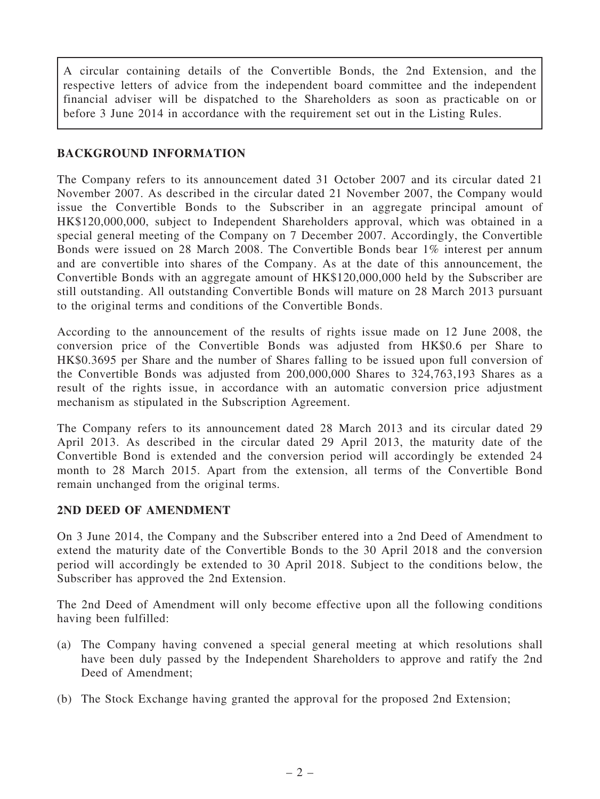A circular containing details of the Convertible Bonds, the 2nd Extension, and the respective letters of advice from the independent board committee and the independent financial adviser will be dispatched to the Shareholders as soon as practicable on or before 3 June 2014 in accordance with the requirement set out in the Listing Rules.

#### BACKGROUND INFORMATION

The Company refers to its announcement dated 31 October 2007 and its circular dated 21 November 2007. As described in the circular dated 21 November 2007, the Company would issue the Convertible Bonds to the Subscriber in an aggregate principal amount of HK\$120,000,000, subject to Independent Shareholders approval, which was obtained in a special general meeting of the Company on 7 December 2007. Accordingly, the Convertible Bonds were issued on 28 March 2008. The Convertible Bonds bear 1% interest per annum and are convertible into shares of the Company. As at the date of this announcement, the Convertible Bonds with an aggregate amount of HK\$120,000,000 held by the Subscriber are still outstanding. All outstanding Convertible Bonds will mature on 28 March 2013 pursuant to the original terms and conditions of the Convertible Bonds.

According to the announcement of the results of rights issue made on 12 June 2008, the conversion price of the Convertible Bonds was adjusted from HK\$0.6 per Share to HK\$0.3695 per Share and the number of Shares falling to be issued upon full conversion of the Convertible Bonds was adjusted from 200,000,000 Shares to 324,763,193 Shares as a result of the rights issue, in accordance with an automatic conversion price adjustment mechanism as stipulated in the Subscription Agreement.

The Company refers to its announcement dated 28 March 2013 and its circular dated 29 April 2013. As described in the circular dated 29 April 2013, the maturity date of the Convertible Bond is extended and the conversion period will accordingly be extended 24 month to 28 March 2015. Apart from the extension, all terms of the Convertible Bond remain unchanged from the original terms.

#### 2ND DEED OF AMENDMENT

On 3 June 2014, the Company and the Subscriber entered into a 2nd Deed of Amendment to extend the maturity date of the Convertible Bonds to the 30 April 2018 and the conversion period will accordingly be extended to 30 April 2018. Subject to the conditions below, the Subscriber has approved the 2nd Extension.

The 2nd Deed of Amendment will only become effective upon all the following conditions having been fulfilled:

- (a) The Company having convened a special general meeting at which resolutions shall have been duly passed by the Independent Shareholders to approve and ratify the 2nd Deed of Amendment;
- (b) The Stock Exchange having granted the approval for the proposed 2nd Extension;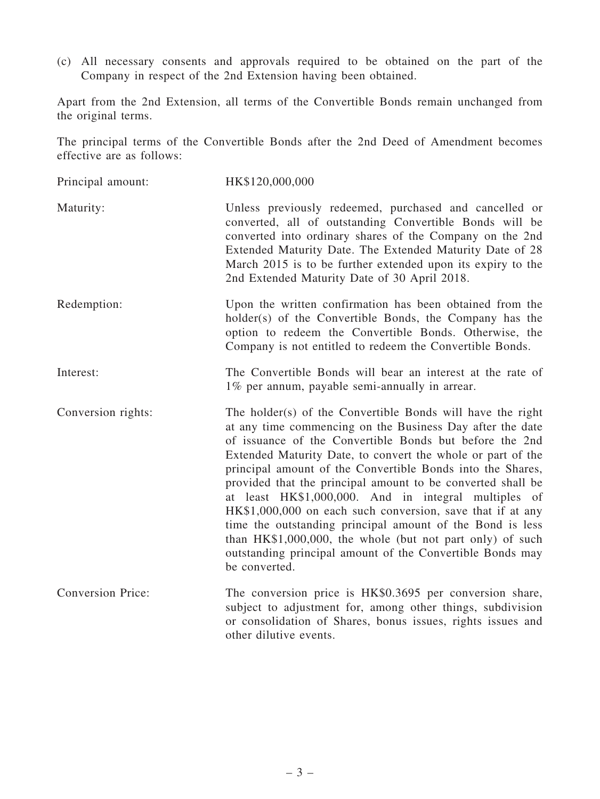(c) All necessary consents and approvals required to be obtained on the part of the Company in respect of the 2nd Extension having been obtained.

Apart from the 2nd Extension, all terms of the Convertible Bonds remain unchanged from the original terms.

The principal terms of the Convertible Bonds after the 2nd Deed of Amendment becomes effective are as follows:

| Principal amount:        | HK\$120,000,000                                                                                                                                                                                                                                                                                                                                                                                                                                                                                                                                                                                                                                                                                              |
|--------------------------|--------------------------------------------------------------------------------------------------------------------------------------------------------------------------------------------------------------------------------------------------------------------------------------------------------------------------------------------------------------------------------------------------------------------------------------------------------------------------------------------------------------------------------------------------------------------------------------------------------------------------------------------------------------------------------------------------------------|
| Maturity:                | Unless previously redeemed, purchased and cancelled or<br>converted, all of outstanding Convertible Bonds will be<br>converted into ordinary shares of the Company on the 2nd<br>Extended Maturity Date. The Extended Maturity Date of 28<br>March 2015 is to be further extended upon its expiry to the<br>2nd Extended Maturity Date of 30 April 2018.                                                                                                                                                                                                                                                                                                                                                     |
| Redemption:              | Upon the written confirmation has been obtained from the<br>holder(s) of the Convertible Bonds, the Company has the<br>option to redeem the Convertible Bonds. Otherwise, the<br>Company is not entitled to redeem the Convertible Bonds.                                                                                                                                                                                                                                                                                                                                                                                                                                                                    |
| Interest:                | The Convertible Bonds will bear an interest at the rate of<br>1% per annum, payable semi-annually in arrear.                                                                                                                                                                                                                                                                                                                                                                                                                                                                                                                                                                                                 |
| Conversion rights:       | The holder(s) of the Convertible Bonds will have the right<br>at any time commencing on the Business Day after the date<br>of issuance of the Convertible Bonds but before the 2nd<br>Extended Maturity Date, to convert the whole or part of the<br>principal amount of the Convertible Bonds into the Shares,<br>provided that the principal amount to be converted shall be<br>at least HK\$1,000,000. And in integral multiples of<br>HK\$1,000,000 on each such conversion, save that if at any<br>time the outstanding principal amount of the Bond is less<br>than HK\$1,000,000, the whole (but not part only) of such<br>outstanding principal amount of the Convertible Bonds may<br>be converted. |
| <b>Conversion Price:</b> | The conversion price is HK\$0.3695 per conversion share,<br>subject to adjustment for, among other things, subdivision<br>or consolidation of Shares, bonus issues, rights issues and<br>other dilutive events.                                                                                                                                                                                                                                                                                                                                                                                                                                                                                              |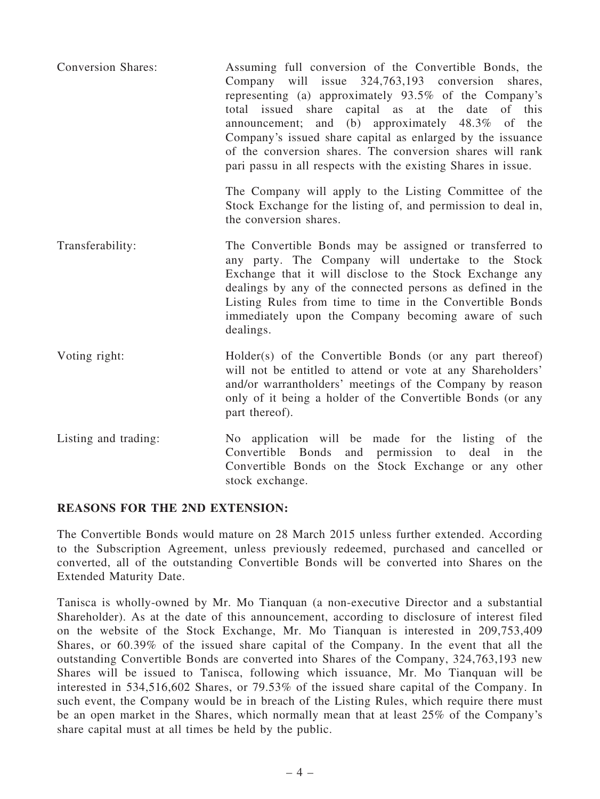| <b>Conversion Shares:</b> | Assuming full conversion of the Convertible Bonds, the<br>Company will issue 324,763,193 conversion<br>shares,<br>representing (a) approximately $93.5\%$ of the Company's<br>total issued share capital as at the date<br>of this<br>announcement; and (b) approximately 48.3% of the<br>Company's issued share capital as enlarged by the issuance<br>of the conversion shares. The conversion shares will rank<br>pari passu in all respects with the existing Shares in issue. |
|---------------------------|------------------------------------------------------------------------------------------------------------------------------------------------------------------------------------------------------------------------------------------------------------------------------------------------------------------------------------------------------------------------------------------------------------------------------------------------------------------------------------|
|                           | The Company will apply to the Listing Committee of the<br>Stock Exchange for the listing of, and permission to deal in,<br>the conversion shares.                                                                                                                                                                                                                                                                                                                                  |
| Transferability:          | The Convertible Bonds may be assigned or transferred to<br>any party. The Company will undertake to the Stock<br>Exchange that it will disclose to the Stock Exchange any<br>dealings by any of the connected persons as defined in the<br>Listing Rules from time to time in the Convertible Bonds<br>immediately upon the Company becoming aware of such<br>dealings.                                                                                                            |
| Voting right:             | Holder(s) of the Convertible Bonds (or any part thereof)<br>will not be entitled to attend or vote at any Shareholders'<br>and/or warrantholders' meetings of the Company by reason<br>only of it being a holder of the Convertible Bonds (or any<br>part thereof).                                                                                                                                                                                                                |
| Listing and trading:      | No application will be made for the listing of the<br>Convertible Bonds<br>and permission to deal<br>in<br>the<br>Convertible Bonds on the Stock Exchange or any other<br>stock exchange.                                                                                                                                                                                                                                                                                          |

#### REASONS FOR THE 2ND EXTENSION:

The Convertible Bonds would mature on 28 March 2015 unless further extended. According to the Subscription Agreement, unless previously redeemed, purchased and cancelled or converted, all of the outstanding Convertible Bonds will be converted into Shares on the Extended Maturity Date.

Tanisca is wholly-owned by Mr. Mo Tianquan (a non-executive Director and a substantial Shareholder). As at the date of this announcement, according to disclosure of interest filed on the website of the Stock Exchange, Mr. Mo Tianquan is interested in 209,753,409 Shares, or 60.39% of the issued share capital of the Company. In the event that all the outstanding Convertible Bonds are converted into Shares of the Company, 324,763,193 new Shares will be issued to Tanisca, following which issuance, Mr. Mo Tianquan will be interested in 534,516,602 Shares, or 79.53% of the issued share capital of the Company. In such event, the Company would be in breach of the Listing Rules, which require there must be an open market in the Shares, which normally mean that at least 25% of the Company's share capital must at all times be held by the public.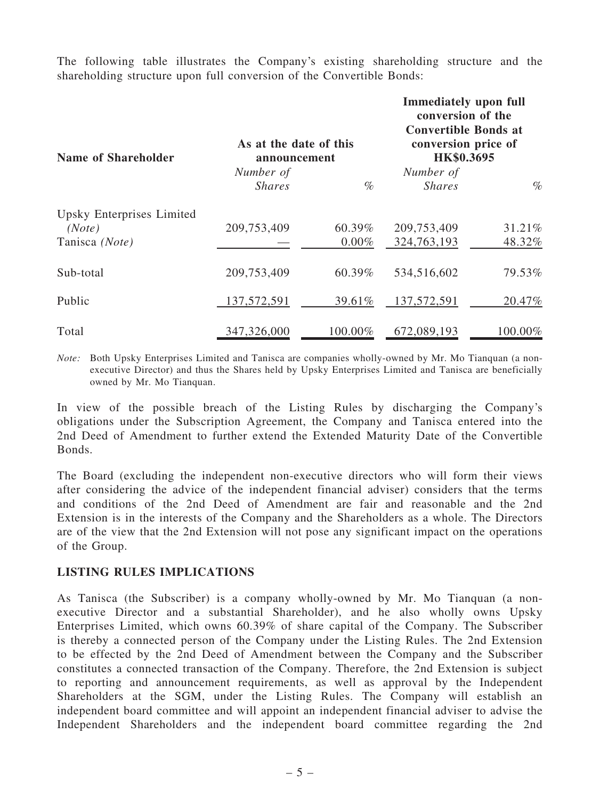The following table illustrates the Company's existing shareholding structure and the shareholding structure upon full conversion of the Convertible Bonds:

| <b>Name of Shareholder</b> | As at the date of this<br>announcement |          | <b>Immediately upon full</b><br>conversion of the<br><b>Convertible Bonds at</b><br>conversion price of<br>HK\$0.3695 |         |
|----------------------------|----------------------------------------|----------|-----------------------------------------------------------------------------------------------------------------------|---------|
|                            | Number of                              |          | Number of                                                                                                             |         |
|                            | <i>Shares</i>                          | $\%$     | <i>Shares</i>                                                                                                         | $\%$    |
| Upsky Enterprises Limited  |                                        |          |                                                                                                                       |         |
| (Note)                     | 209,753,409                            | 60.39%   | 209,753,409                                                                                                           | 31.21%  |
| Tanisca (Note)             |                                        | $0.00\%$ | 324,763,193                                                                                                           | 48.32%  |
| Sub-total                  | 209,753,409                            | 60.39%   | 534,516,602                                                                                                           | 79.53%  |
| Public                     | 137,572,591                            | 39.61%   | 137,572,591                                                                                                           | 20.47%  |
| Total                      | 347,326,000                            | 100.00%  | 672,089,193                                                                                                           | 100.00% |

*Note:* Both Upsky Enterprises Limited and Tanisca are companies wholly-owned by Mr. Mo Tianquan (a nonexecutive Director) and thus the Shares held by Upsky Enterprises Limited and Tanisca are beneficially owned by Mr. Mo Tianquan.

In view of the possible breach of the Listing Rules by discharging the Company's obligations under the Subscription Agreement, the Company and Tanisca entered into the 2nd Deed of Amendment to further extend the Extended Maturity Date of the Convertible Bonds.

The Board (excluding the independent non-executive directors who will form their views after considering the advice of the independent financial adviser) considers that the terms and conditions of the 2nd Deed of Amendment are fair and reasonable and the 2nd Extension is in the interests of the Company and the Shareholders as a whole. The Directors are of the view that the 2nd Extension will not pose any significant impact on the operations of the Group.

#### LISTING RULES IMPLICATIONS

As Tanisca (the Subscriber) is a company wholly-owned by Mr. Mo Tianquan (a nonexecutive Director and a substantial Shareholder), and he also wholly owns Upsky Enterprises Limited, which owns 60.39% of share capital of the Company. The Subscriber is thereby a connected person of the Company under the Listing Rules. The 2nd Extension to be effected by the 2nd Deed of Amendment between the Company and the Subscriber constitutes a connected transaction of the Company. Therefore, the 2nd Extension is subject to reporting and announcement requirements, as well as approval by the Independent Shareholders at the SGM, under the Listing Rules. The Company will establish an independent board committee and will appoint an independent financial adviser to advise the Independent Shareholders and the independent board committee regarding the 2nd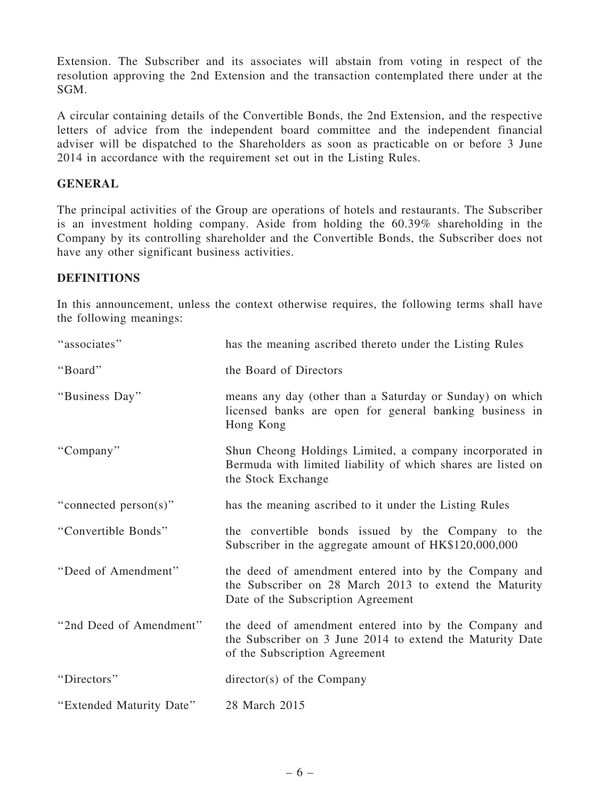Extension. The Subscriber and its associates will abstain from voting in respect of the resolution approving the 2nd Extension and the transaction contemplated there under at the SGM.

A circular containing details of the Convertible Bonds, the 2nd Extension, and the respective letters of advice from the independent board committee and the independent financial adviser will be dispatched to the Shareholders as soon as practicable on or before 3 June 2014 in accordance with the requirement set out in the Listing Rules.

#### GENERAL

The principal activities of the Group are operations of hotels and restaurants. The Subscriber is an investment holding company. Aside from holding the 60.39% shareholding in the Company by its controlling shareholder and the Convertible Bonds, the Subscriber does not have any other significant business activities.

### DEFINITIONS

In this announcement, unless the context otherwise requires, the following terms shall have the following meanings:

| "associates"             | has the meaning ascribed thereto under the Listing Rules                                                                                              |
|--------------------------|-------------------------------------------------------------------------------------------------------------------------------------------------------|
| "Board"                  | the Board of Directors                                                                                                                                |
| "Business Day"           | means any day (other than a Saturday or Sunday) on which<br>licensed banks are open for general banking business in<br>Hong Kong                      |
| "Company"                | Shun Cheong Holdings Limited, a company incorporated in<br>Bermuda with limited liability of which shares are listed on<br>the Stock Exchange         |
| "connected person(s)"    | has the meaning ascribed to it under the Listing Rules                                                                                                |
| "Convertible Bonds"      | the convertible bonds issued by the Company to the<br>Subscriber in the aggregate amount of HK\$120,000,000                                           |
| "Deed of Amendment"      | the deed of amendment entered into by the Company and<br>the Subscriber on 28 March 2013 to extend the Maturity<br>Date of the Subscription Agreement |
| "2nd Deed of Amendment"  | the deed of amendment entered into by the Company and<br>the Subscriber on 3 June 2014 to extend the Maturity Date<br>of the Subscription Agreement   |
| "Directors"              | $\text{directory}(s)$ of the Company                                                                                                                  |
| "Extended Maturity Date" | 28 March 2015                                                                                                                                         |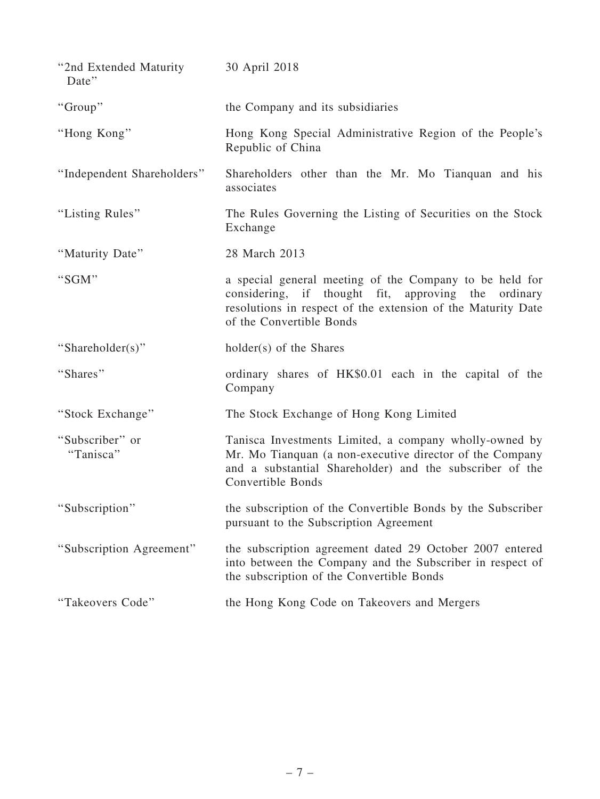| "2nd Extended Maturity"<br>Date" | 30 April 2018                                                                                                                                                                                                 |
|----------------------------------|---------------------------------------------------------------------------------------------------------------------------------------------------------------------------------------------------------------|
| "Group"                          | the Company and its subsidiaries                                                                                                                                                                              |
| "Hong Kong"                      | Hong Kong Special Administrative Region of the People's<br>Republic of China                                                                                                                                  |
| "Independent Shareholders"       | Shareholders other than the Mr. Mo Tianquan and his<br>associates                                                                                                                                             |
| "Listing Rules"                  | The Rules Governing the Listing of Securities on the Stock<br>Exchange                                                                                                                                        |
| "Maturity Date"                  | 28 March 2013                                                                                                                                                                                                 |
| "SGM"                            | a special general meeting of the Company to be held for<br>considering, if thought fit, approving the<br>ordinary<br>resolutions in respect of the extension of the Maturity Date<br>of the Convertible Bonds |
| "Shareholder(s)"                 | holder(s) of the Shares                                                                                                                                                                                       |
| "Shares"                         | ordinary shares of HK\$0.01 each in the capital of the<br>Company                                                                                                                                             |
| "Stock Exchange"                 | The Stock Exchange of Hong Kong Limited                                                                                                                                                                       |
| "Subscriber" or<br>"Tanisca"     | Tanisca Investments Limited, a company wholly-owned by<br>Mr. Mo Tianquan (a non-executive director of the Company                                                                                            |
|                                  | and a substantial Shareholder) and the subscriber of the<br>Convertible Bonds                                                                                                                                 |
| "Subscription"                   | the subscription of the Convertible Bonds by the Subscriber<br>pursuant to the Subscription Agreement                                                                                                         |
| "Subscription Agreement"         | the subscription agreement dated 29 October 2007 entered<br>into between the Company and the Subscriber in respect of<br>the subscription of the Convertible Bonds                                            |